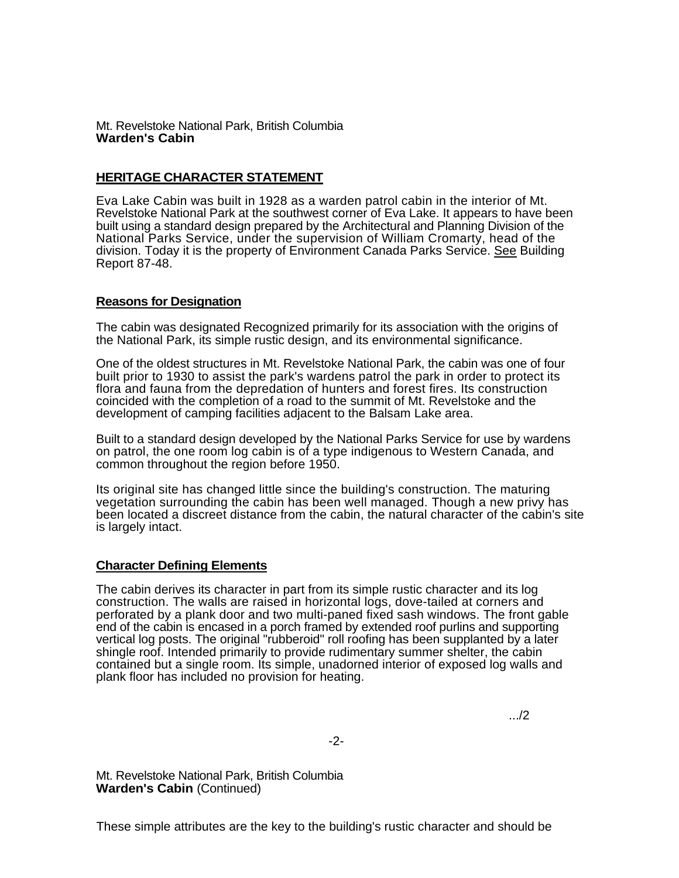## Mt. Revelstoke National Park, British Columbia **Warden's Cabin**

## **HERITAGE CHARACTER STATEMENT**

Eva Lake Cabin was built in 1928 as a warden patrol cabin in the interior of Mt. Revelstoke National Park at the southwest corner of Eva Lake. It appears to have been built using a standard design prepared by the Architectural and Planning Division of the National Parks Service, under the supervision of William Cromarty, head of the division. Today it is the property of Environment Canada Parks Service. See Building Report 87-48.

## **Reasons for Designation**

The cabin was designated Recognized primarily for its association with the origins of the National Park, its simple rustic design, and its environmental significance.

One of the oldest structures in Mt. Revelstoke National Park, the cabin was one of four built prior to 1930 to assist the park's wardens patrol the park in order to protect its flora and fauna from the depredation of hunters and forest fires. Its construction coincided with the completion of a road to the summit of Mt. Revelstoke and the development of camping facilities adjacent to the Balsam Lake area.

Built to a standard design developed by the National Parks Service for use by wardens on patrol, the one room log cabin is of a type indigenous to Western Canada, and common throughout the region before 1950.

Its original site has changed little since the building's construction. The maturing vegetation surrounding the cabin has been well managed. Though a new privy has been located a discreet distance from the cabin, the natural character of the cabin's site is largely intact.

## **Character Defining Elements**

The cabin derives its character in part from its simple rustic character and its log construction. The walls are raised in horizontal logs, dove-tailed at corners and perforated by a plank door and two multi-paned fixed sash windows. The front gable end of the cabin is encased in a porch framed by extended roof purlins and supporting vertical log posts. The original "rubberoid" roll roofing has been supplanted by a later shingle roof. Intended primarily to provide rudimentary summer shelter, the cabin contained but a single room. Its simple, unadorned interior of exposed log walls and plank floor has included no provision for heating.

.../2

Mt. Revelstoke National Park, British Columbia **Warden's Cabin** (Continued)

These simple attributes are the key to the building's rustic character and should be